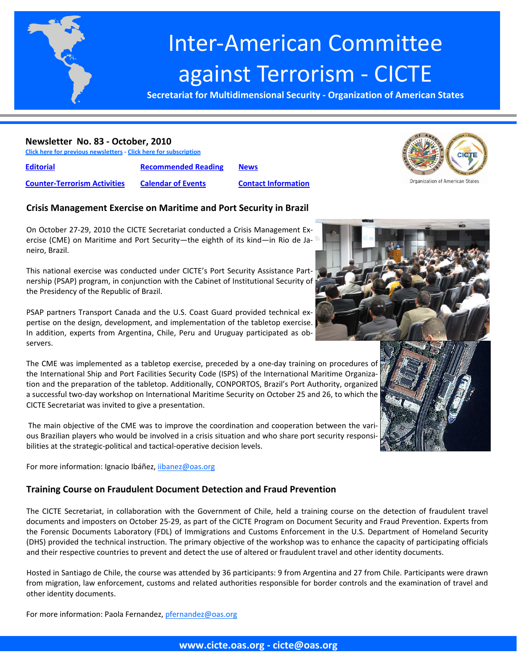

# Inter‐American Committee against Terrorism ‐ CICTE

**Secretariat for Multidimensional Security ‐ Organization of American States**

#### **Newsletter No. 83 ‐ October, 2010**

**Click here for previous newsletters ‐ Click here for subscription**

**Editorial [Recommended](#page-5-0) Reading [News](#page-7-0)**

**Counter‐Terrorism Activities Calendar of Events Contact [Information](#page-10-0)**



## **Crisis Management Exercise on Maritime and Port Security in Brazil**

On October 27‐29, 2010 the CICTE Secretariat conducted a Crisis Management Ex‐ ercise (CME) on Maritime and Port Security—the eighth of its kind—in Rio de Ja‐ neiro, Brazil.

This national exercise was conducted under CICTE's Port Security Assistance Part‐ nership (PSAP) program, in conjunction with the Cabinet of Institutional Security of the Presidency of the Republic of Brazil.

PSAP partners Transport Canada and the U.S. Coast Guard provided technical ex‐ pertise on the design, development, and implementation of the tabletop exercise. In addition, experts from Argentina, Chile, Peru and Uruguay participated as ob‐ servers.

The CME was implemented as a tabletop exercise, preceded by a one‐day training on procedures of the International Ship and Port Facilities Security Code (ISPS) of the International Maritime Organiza‐ tion and the preparation of the tabletop. Additionally, CONPORTOS, Brazil's Port Authority, organized a successful two‐day workshop on International Maritime Security on October 25 and 26, to which the CICTE Secretariat was invited to give a presentation.

The main objective of the CME was to improve the coordination and cooperation between the vari‐ ous Brazilian players who would be involved in a crisis situation and who share port security responsibilities at the strategic‐political and tactical‐operative decision levels.

For more information: Ignacio Ibáñez, iibanez@oas.org

## **Training Course on Fraudulent Document Detection and Fraud Prevention**

The CICTE Secretariat, in collaboration with the Government of Chile, held a training course on the detection of fraudulent travel documents and imposters on October 25‐29, as part of the CICTE Program on Document Security and Fraud Prevention. Experts from the Forensic Documents Laboratory (FDL) of Immigrations and Customs Enforcement in the U.S. Department of Homeland Security (DHS) provided the technical instruction. The primary objective of the workshop was to enhance the capacity of participating officials and their respective countries to prevent and detect the use of altered or fraudulent travel and other identity documents.

Hosted in Santiago de Chile, the course was attended by 36 participants: 9 from Argentina and 27 from Chile. Participants were drawn from migration, law enforcement, customs and related authorities responsible for border controls and the examination of travel and other identity documents.

For more information: Paola Fernandez, pfernandez@oas.org

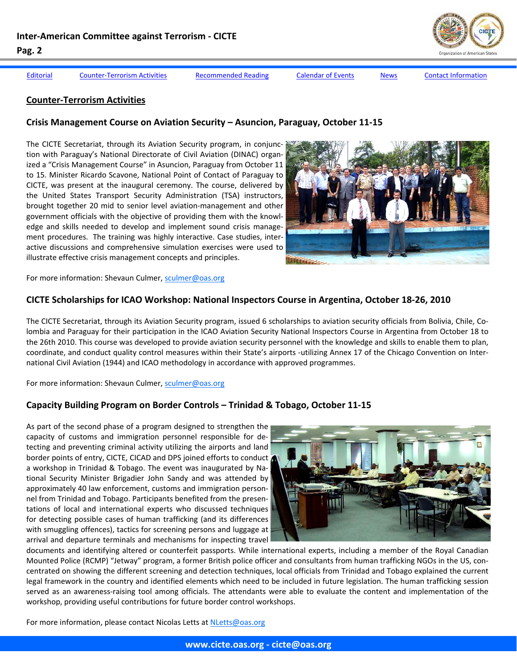<span id="page-1-0"></span>

Editorial Counter-Terrorism Activities [Recommended](#page-5-0) Reading Calendar of Events [News](#page-7-0) Contact [Information](#page-10-0)

## **Counter‐Terrorism Activities**

#### **Crisis Management Course on Aviation Security – Asuncion, Paraguay, October 11‐15**

The CICTE Secretariat, through its Aviation Security program, in conjunc‐ tion with Paraguay's National Directorate of Civil Aviation (DINAC) organ‐ ized a "Crisis Management Course" in Asuncion, Paraguay from October 11 to 15. Minister Ricardo Scavone, National Point of Contact of Paraguay to CICTE, was present at the inaugural ceremony. The course, delivered by the United States Transport Security Administration (TSA) instructors, brought together 20 mid to senior level aviation‐management and other government officials with the objective of providing them with the knowl‐ edge and skills needed to develop and implement sound crisis manage‐ ment procedures. The training was highly interactive. Case studies, inter‐ active discussions and comprehensive simulation exercises were used to illustrate effective crisis management concepts and principles.



For more information: Shevaun Culmer, sculmer@oas.org

#### **CICTE Scholarships for ICAO Workshop: National Inspectors Course in Argentina, October 18‐26, 2010**

The CICTE Secretariat, through its Aviation Security program, issued 6 scholarships to aviation security officials from Bolivia, Chile, Co‐ lombia and Paraguay for their participation in the ICAO Aviation Security National Inspectors Course in Argentina from October 18 to the 26th 2010. This course was developed to provide aviation security personnel with the knowledge and skills to enable them to plan, coordinate, and conduct quality control measures within their State's airports ‐utilizing Annex 17 of the Chicago Convention on Inter‐ national Civil Aviation (1944) and ICAO methodology in accordance with approved programmes.

For more information: Shevaun Culmer, sculmer@oas.org

#### **Capacity Building Program on Border Controls – Trinidad & Tobago, October 11‐15**

As part of the second phase of a program designed to strengthen the capacity of customs and immigration personnel responsible for de‐ tecting and preventing criminal activity utilizing the airports and land border points of entry, CICTE, CICAD and DPS joined efforts to conduct a workshop in Trinidad & Tobago. The event was inaugurated by Na‐ tional Security Minister Brigadier John Sandy and was attended by approximately 40 law enforcement, customs and immigration person‐ nel from Trinidad and Tobago. Participants benefited from the presen‐ tations of local and international experts who discussed techniques for detecting possible cases of human trafficking (and its differences with smuggling offences), tactics for screening persons and luggage at arrival and departure terminals and mechanisms for inspecting travel



documents and identifying altered or counterfeit passports. While international experts, including a member of the Royal Canadian Mounted Police (RCMP) "Jetway" program, a former British police officer and consultants from human trafficking NGOs in the US, con‐ centrated on showing the different screening and detection techniques, local officials from Trinidad and Tobago explained the current legal framework in the country and identified elements which need to be included in future legislation. The human trafficking session served as an awareness-raising tool among officials. The attendants were able to evaluate the content and implementation of the workshop, providing useful contributions for future border control workshops.

For more information, please contact Nicolas Letts at NLetts@oas.org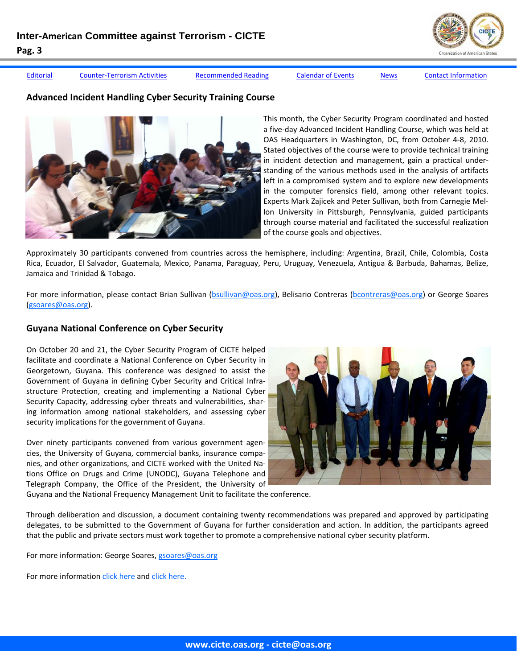Editorial Counter-[Terrorism](#page-1-0) Activities [Recommended](#page-5-0) Reading Calendar of Events [News](#page-7-0) Contact [Information](#page-10-0)

## **Advanced Incident Handling Cyber Security Training Course**



This month, the Cyber Security Program coordinated and hosted a five‐day Advanced Incident Handling Course, which was held at OAS Headquarters in Washington, DC, from October 4‐8, 2010. Stated objectives of the course were to provide technical training in incident detection and management, gain a practical under‐ standing of the various methods used in the analysis of artifacts left in a compromised system and to explore new developments in the computer forensics field, among other relevant topics. Experts Mark Zajicek and Peter Sullivan, both from Carnegie Mel‐ lon University in Pittsburgh, Pennsylvania, guided participants through course material and facilitated the successful realization of the course goals and objectives.

Approximately 30 participants convened from countries across the hemisphere, including: Argentina, Brazil, Chile, Colombia, Costa Rica, Ecuador, El Salvador, Guatemala, Mexico, Panama, Paraguay, Peru, Uruguay, Venezuela, Antigua & Barbuda, Bahamas, Belize, Jamaica and Trinidad & Tobago.

For more information, please contact Brian Sullivan (bsullivan@oas.org), Belisario Contreras (bcontreras@oas.org) or George Soares (gsoares@oas.org).

## **Guyana National Conference on Cyber Security**

On October 20 and 21, the Cyber Security Program of CICTE helped facilitate and coordinate a National Conference on Cyber Security in Georgetown, Guyana. This conference was designed to assist the Government of Guyana in defining Cyber Security and Critical Infra‐ structure Protection, creating and implementing a National Cyber Security Capacity, addressing cyber threats and vulnerabilities, shar‐ ing information among national stakeholders, and assessing cyber security implications for the government of Guyana.

Over ninety participants convened from various government agencies, the University of Guyana, commercial banks, insurance compa‐ nies, and other organizations, and CICTE worked with the United Na‐ tions Office on Drugs and Crime (UNODC), Guyana Telephone and Telegraph Company, the Office of the President, the University of



Guyana and the National Frequency Management Unit to facilitate the conference.

Through deliberation and discussion, a document containing twenty recommendations was prepared and approved by participating delegates, to be submitted to the Government of Guyana for further consideration and action. In addition, the participants agreed that the public and private sectors must work together to promote a comprehensive national cyber security platform.

For more information: George Soares, gsoares@oas.org

For more information click [here](http://www.stabroeknews.com/2010/news/stories/10/21/cyber-security-national-conference-launched/) and click [here.](http://www.guyanachronicleonline.com/site/index.php?option=com_content&view=article&id=20211:national-conference-on-cyber-security-launched&catid=4:top-story&Itemid=8)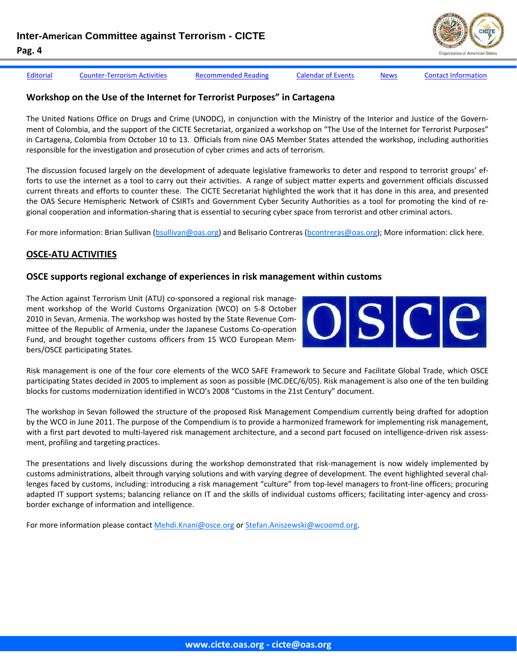Editorial Counter-[Terrorism](#page-1-0) Activities [Recommended](#page-5-0) Reading Calendar of Events [News](#page-7-0) Contact [Information](#page-10-0)

# **Workshop on the Use of the Internet for Terrorist Purposes" in Cartagena**

The United Nations Office on Drugs and Crime (UNODC), in conjunction with the Ministry of the Interior and Justice of the Govern‐ ment of Colombia, and the support of the CICTE Secretariat, organized a workshop on "The Use of the Internet for Terrorist Purposes" in Cartagena, Colombia from October 10 to 13. Officials from nine OAS Member States attended the workshop, including authorities responsible for the investigation and prosecution of cyber crimes and acts of terrorism.

The discussion focused largely on the development of adequate legislative frameworks to deter and respond to terrorist groups' ef‐ forts to use the internet as a tool to carry out their activities. A range of subject matter experts and government officials discussed current threats and efforts to counter these. The CICTE Secretariat highlighted the work that it has done in this area, and presented the OAS Secure Hemispheric Network of CSIRTs and Government Cyber Security Authorities as a tool for promoting the kind of regional cooperation and information‐sharing that is essential to securing cyber space from terrorist and other criminal actors.

For more information: Brian Sullivan (bsullivan@oas.org) and Belisario Contreras (bcontreras@oas.org); More information: click here.

# **OSCE‐ATU ACTIVITIES**

#### **OSCE supports regional exchange of experiences in risk management within customs**

The Action against Terrorism Unit (ATU) co‐sponsored a regional risk manage‐ ment workshop of the World Customs Organization (WCO) on 5‐8 October 2010 in Sevan, Armenia. The workshop was hosted by the State Revenue Com‐ mittee of the Republic of Armenia, under the Japanese Customs Co‐operation Fund, and brought together customs officers from 15 WCO European Mem‐ bers/OSCE participating States.



Risk management is one of the four core elements of the WCO SAFE Framework to Secure and Facilitate Global Trade, which OSCE participating States decided in 2005 to implement as soon as possible (MC.DEC/6/05). Risk management is also one of the ten building blocks for customs modernization identified in WCO's 2008 "Customs in the 21st Century" document.

The workshop in Sevan followed the structure of the proposed Risk Management Compendium currently being drafted for adoption by the WCO in June 2011. The purpose of the Compendium is to provide a harmonized framework for implementing risk management, with a first part devoted to multi-layered risk management architecture, and a second part focused on intelligence-driven risk assessment, profiling and targeting practices.

The presentations and lively discussions during the workshop demonstrated that risk‐management is now widely implemented by customs administrations, albeit through varying solutions and with varying degree of development. The event highlighted several chal‐ lenges faced by customs, including: introducing a risk management "culture" from top-level managers to front-line officers; procuring adapted IT support systems; balancing reliance on IT and the skills of individual customs officers; facilitating inter-agency and crossborder exchange of information and intelligence.

For more information please contact Mehdi.Knani@osce.org or Stefan.Aniszewski@wcoomd.org.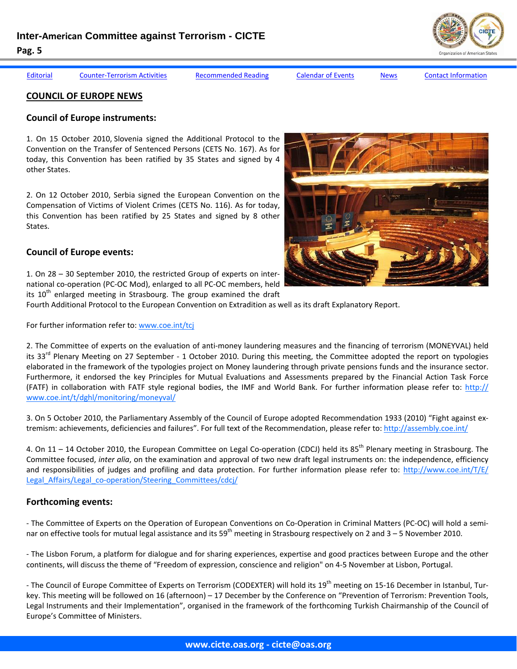#### **COUNCIL OF EUROPE NEWS**

# **Council of Europe instruments:**

1. On 15 October 2010, Slovenia signed the Additional Protocol to the Convention on the Transfer of Sentenced Persons (CETS No. 167). As for today, this Convention has been ratified by 35 States and signed by 4 other States.

2. On 12 October 2010, Serbia signed the European Convention on the Compensation of Victims of Violent Crimes (CETS No. 116). As for today, this Convention has been ratified by 25 States and signed by 8 other States.

# **Council of Europe events:**

1. On 28 – 30 September 2010, the restricted Group of experts on inter‐ national co-operation (PC-OC Mod), enlarged to all PC-OC members, held its  $10<sup>th</sup>$  enlarged meeting in Strasbourg. The group examined the draft

Fourth Additional Protocol to the European Convention on Extradition as well as its draft Explanatory Report.

For further information refer to: www.coe.int/tcj

2. The Committee of experts on the evaluation of anti‐money laundering measures and the financing of terrorism (MONEYVAL) held its 33<sup>rd</sup> Plenary Meeting on 27 September - 1 October 2010. During this meeting, the Committee adopted the report on typologies elaborated in the framework of the typologies project on Money laundering through private pensions funds and the insurance sector. Furthermore, it endorsed the key Principles for Mutual Evaluations and Assessments prepared by the Financial Action Task Force (FATF) in collaboration with FATF style regional bodies, the IMF and World Bank. For further information please refer to: http:// www.coe.int/t/dghl/monitoring/moneyval/

3. On 5 October 2010, the Parliamentary Assembly of the Council of Europe adopted Recommendation 1933 (2010) "Fight against ex‐ tremism: achievements, deficiencies and failures". For full text of the Recommendation, please refer to: http://assembly.coe.int/

4. On 11 – 14 October 2010, the European Committee on Legal Co-operation (CDCJ) held its 85<sup>th</sup> Plenary meeting in Strasbourg. The Committee focused, *inter alia*, on the examination and approval of two new draft legal instruments on: the independence, efficiency and responsibilities of judges and profiling and data protection. For further information please refer to: http://www.coe.int/T/E/ Legal Affairs/Legal co-operation/Steering Committees/cdcj/

# **Forthcoming events:**

‐ The Committee of Experts on the Operation of European Conventions on Co‐Operation in Criminal Matters (PC‐OC) will hold a semi‐ nar on effective tools for mutual legal assistance and its 59<sup>th</sup> meeting in Strasbourg respectively on 2 and  $3-5$  November 2010.

‐ The Lisbon Forum, a platform for dialogue and for sharing experiences, expertise and good practices between Europe and the other continents, will discuss the theme of "Freedom of expression, conscience and religion" on 4‐5 November at Lisbon, Portugal.

- The Council of Europe Committee of Experts on Terrorism (CODEXTER) will hold its 19<sup>th</sup> meeting on 15-16 December in Istanbul, Turkey. This meeting will be followed on 16 (afternoon) – 17 December by the Conference on "Prevention of Terrorism: Prevention Tools, Legal Instruments and their Implementation", organised in the framework of the forthcoming Turkish Chairmanship of the Council of Europe's Committee of Ministers.





Editorial Counter-[Terrorism](#page-1-0) Activities [Recommended](#page-5-0) Reading Calendar of Events [News](#page-7-0) Contact [Information](#page-10-0)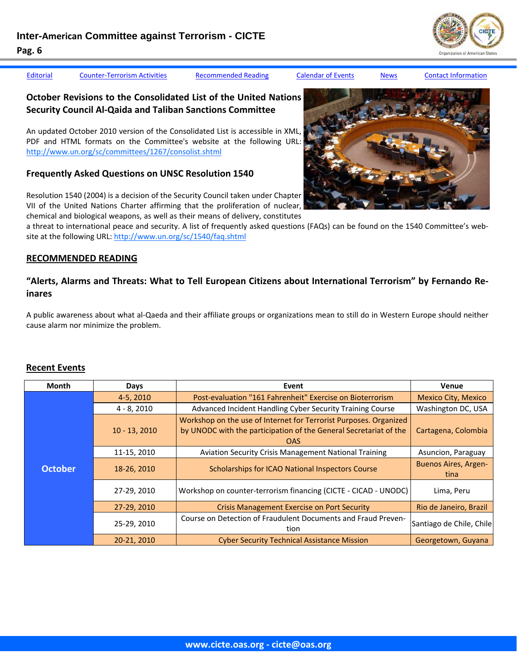<span id="page-5-0"></span>

Editorial Counter-[Terrorism](#page-1-0) Activities Recommended Reading Calendar of Events [News](#page-7-0) Contact [Information](#page-10-0)

# **October Revisions to the Consolidated List of the United Nations Security Council Al‐Qaida and Taliban Sanctions Committee**

An updated October 2010 version of the Consolidated List is accessible in XML, PDF and HTML formats on the Committee's website at the following URL: http://www.un.org/sc/committees/1267/consolist.shtml

# **Frequently Asked Questions on UNSC Resolution 1540**

Resolution 1540 (2004) is a decision of the Security Council taken under Chapter VII of the United Nations Charter affirming that the proliferation of nuclear, chemical and biological weapons, as well as their means of delivery, constitutes

a threat to international peace and security. A list of frequently asked questions (FAQs) can be found on the 1540 Committee's web‐ site at the following URL: http://www.un.org/sc/1540/faq.shtml

#### **RECOMMENDED READING**

# **"Alerts, Alarms and Threats: What to Tell European Citizens about International Terrorism" by Fernando Re‐ inares**

A public awareness about what al‐Qaeda and their affiliate groups or organizations mean to still do in Western Europe should neither cause alarm nor minimize the problem. 

#### **Recent Events**

| <b>Month</b>   | Days            | Event                                                                                                                                                | <b>Venue</b>                        |
|----------------|-----------------|------------------------------------------------------------------------------------------------------------------------------------------------------|-------------------------------------|
| <b>October</b> | 4-5, 2010       | Post-evaluation "161 Fahrenheit" Exercise on Bioterrorism                                                                                            | <b>Mexico City, Mexico</b>          |
|                | $4 - 8,2010$    | Advanced Incident Handling Cyber Security Training Course                                                                                            | Washington DC, USA                  |
|                | $10 - 13, 2010$ | Workshop on the use of Internet for Terrorist Purposes. Organized<br>by UNODC with the participation of the General Secretariat of the<br><b>OAS</b> | Cartagena, Colombia                 |
|                | 11-15, 2010     | <b>Aviation Security Crisis Management National Training</b>                                                                                         | Asuncion, Paraguay                  |
|                | 18-26, 2010     | Scholarships for ICAO National Inspectors Course                                                                                                     | <b>Buenos Aires, Argen-</b><br>tina |
|                | 27-29, 2010     | Workshop on counter-terrorism financing (CICTE - CICAD - UNODC)                                                                                      | Lima, Peru                          |
|                | 27-29, 2010     | <b>Crisis Management Exercise on Port Security</b>                                                                                                   | Rio de Janeiro, Brazil              |
|                | 25-29, 2010     | Course on Detection of Fraudulent Documents and Fraud Preven-<br>tion                                                                                | Santiago de Chile, Chile            |
|                | 20-21, 2010     | <b>Cyber Security Technical Assistance Mission</b>                                                                                                   | Georgetown, Guyana                  |

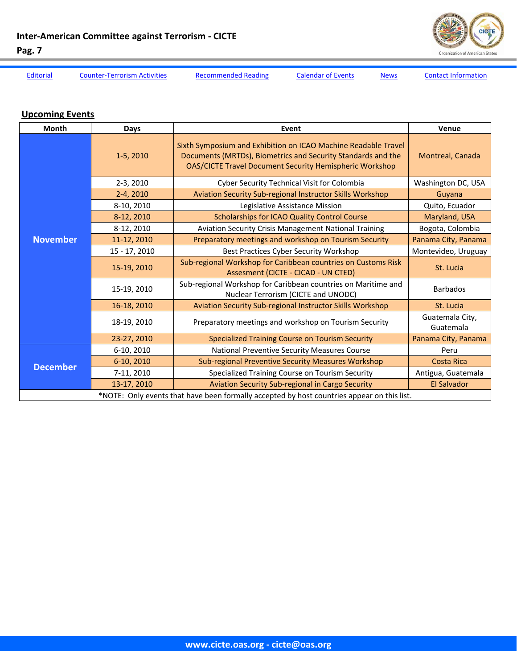

Editorial Counter-Terrorism Activities Recommended Reading Calendar of Events News Contact Information

# **Upcoming Events**

| Month                                                                                      | <b>Days</b>   | Event                                                                                                                                                                                            | Venue                        |  |
|--------------------------------------------------------------------------------------------|---------------|--------------------------------------------------------------------------------------------------------------------------------------------------------------------------------------------------|------------------------------|--|
| <b>November</b>                                                                            | $1-5, 2010$   | Sixth Symposium and Exhibition on ICAO Machine Readable Travel<br>Documents (MRTDs), Biometrics and Security Standards and the<br><b>OAS/CICTE Travel Document Security Hemispheric Workshop</b> | Montreal, Canada             |  |
|                                                                                            | $2-3, 2010$   | Cyber Security Technical Visit for Colombia                                                                                                                                                      | Washington DC, USA           |  |
|                                                                                            | $2-4, 2010$   | Aviation Security Sub-regional Instructor Skills Workshop                                                                                                                                        | Guyana                       |  |
|                                                                                            | 8-10, 2010    | Legislative Assistance Mission                                                                                                                                                                   | Quito, Ecuador               |  |
|                                                                                            | 8-12, 2010    | Scholarships for ICAO Quality Control Course                                                                                                                                                     | Maryland, USA                |  |
|                                                                                            | 8-12, 2010    | Aviation Security Crisis Management National Training                                                                                                                                            | Bogota, Colombia             |  |
|                                                                                            | 11-12, 2010   | Preparatory meetings and workshop on Tourism Security                                                                                                                                            | Panama City, Panama          |  |
|                                                                                            | 15 - 17, 2010 | Best Practices Cyber Security Workshop                                                                                                                                                           | Montevideo, Uruguay          |  |
|                                                                                            | 15-19, 2010   | Sub-regional Workshop for Caribbean countries on Customs Risk<br>Assesment (CICTE - CICAD - UN CTED)                                                                                             | St. Lucia                    |  |
|                                                                                            | 15-19, 2010   | Sub-regional Workshop for Caribbean countries on Maritime and<br>Nuclear Terrorism (CICTE and UNODC)                                                                                             | <b>Barbados</b>              |  |
|                                                                                            | 16-18, 2010   | Aviation Security Sub-regional Instructor Skills Workshop                                                                                                                                        | St. Lucia                    |  |
|                                                                                            | 18-19, 2010   | Preparatory meetings and workshop on Tourism Security                                                                                                                                            | Guatemala City,<br>Guatemala |  |
|                                                                                            | 23-27, 2010   | Specialized Training Course on Tourism Security                                                                                                                                                  | Panama City, Panama          |  |
| <b>December</b>                                                                            | 6-10, 2010    | National Preventive Security Measures Course                                                                                                                                                     | Peru                         |  |
|                                                                                            | 6-10, 2010    | Sub-regional Preventive Security Measures Workshop                                                                                                                                               | <b>Costa Rica</b>            |  |
|                                                                                            | 7-11, 2010    | Specialized Training Course on Tourism Security                                                                                                                                                  | Antigua, Guatemala           |  |
|                                                                                            | 13-17, 2010   | Aviation Security Sub-regional in Cargo Security                                                                                                                                                 | <b>El Salvador</b>           |  |
| *NOTE: Only events that have been formally accepted by host countries appear on this list. |               |                                                                                                                                                                                                  |                              |  |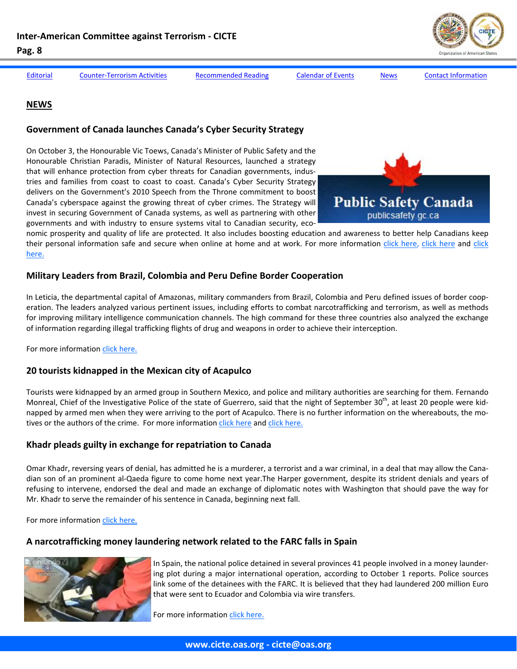

<span id="page-7-0"></span>

Editorial Counter-[Terrorism](#page-1-0) Activities [Recommended](#page-5-0) Reading Calendar of Events News Contact [Information](#page-10-0)

#### **NEWS**

#### **Government of Canada launches Canada's Cyber Security Strategy**

On October 3, the Honourable Vic Toews, Canada's Minister of Public Safety and the Honourable Christian Paradis, Minister of Natural Resources, launched a strategy that will enhance protection from cyber threats for Canadian governments, indus‐ tries and families from coast to coast to coast. Canada's Cyber Security Strategy delivers on the Government's 2010 Speech from the Throne commitment to boost Canada's cyberspace against the growing threat of cyber crimes. The Strategy will invest in securing Government of Canada systems, as well as partnering with other governments and with industry to ensure systems vital to Canadian security, eco-



nomic prosperity and quality of life are protected. It also includes boosting education and awareness to better help Canadians keep their personal information safe and secure when online at home and at work. For more information click [here,](http://www.publicsafety.gc.ca/media/nr/2010/nr20101003-eng.aspx?rss=false) click [here](http://www.vancouversun.com/news/Cyber+security+program+will+protect+Canadians+from+online+attacks/3617381/story.html#ixzz12iz9aPay) and [click](http://cybersecurityreport.nextgov.com/2010/10/canadas_cyber_strategy_vague_too.php) [here.](http://cybersecurityreport.nextgov.com/2010/10/canadas_cyber_strategy_vague_too.php)

#### **Military Leaders from Brazil, Colombia and Peru Define Border Cooperation**

In Leticia, the departmental capital of Amazonas, military commanders from Brazil, Colombia and Peru defined issues of border cooperation. The leaders analyzed various pertinent issues, including efforts to combat narcotrafficking and terrorism, as well as methods for improving military intelligence communication channels. The high command for these three countries also analyzed the exchange of information regarding illegal trafficking flights of drug and weapons in order to achieve their interception.

For more information click [here.](http://www.elespectador.com/noticias/judicial/articulo-230791-jefes-militares-de-brasil-colombia-y-peru-definen-cooperacion-fron)

#### **20 tourists kidnapped in the Mexican city of Acapulco**

Tourists were kidnapped by an armed group in Southern Mexico, and police and military authorities are searching for them. Fernando Monreal, Chief of the Investigative Police of the state of Guerrero, said that the night of September  $30<sup>th</sup>$ , at least 20 people were kidnapped by armed men when they were arriving to the port of Acapulco. There is no further information on the whereabouts, the motives or the authors of the crime. For more information click [here](http://www.eltiempo.com/archivo/documento/CMS-8050620) and click [here.](http://www.elmundo.es/america/2010/10/03/mexico/1286116711.html)

## **Khadr pleads guilty in exchange for repatriation to Canada**

Omar Khadr, reversing years of denial, has admitted he is a murderer, a terrorist and a war criminal, in a deal that may allow the Cana‐ dian son of an prominent al‐Qaeda figure to come home next year.The Harper government, despite its strident denials and years of refusing to intervene, endorsed the deal and made an exchange of diplomatic notes with Washington that should pave the way for Mr. Khadr to serve the remainder of his sentence in Canada, beginning next fall.

For more information click [here.](http://www.theglobeandmail.com/news/world/americas/khadr-pleads-guilty-in-exchange-for-repatriation-to-canada/article1771325/)

## **A narcotrafficking money laundering network related to the FARC falls in Spain**



In Spain, the national police detained in several provinces 41 people involved in a money launder‐ ing plot during a major international operation, according to October 1 reports. Police sources link some of the detainees with the FARC. It is believed that they had laundered 200 million Euro that were sent to Ecuador and Colombia via wire transfers.

For more information click [here.](http://www.elmundo.es/elmundo/2010/10/01/espana/1285955247.html)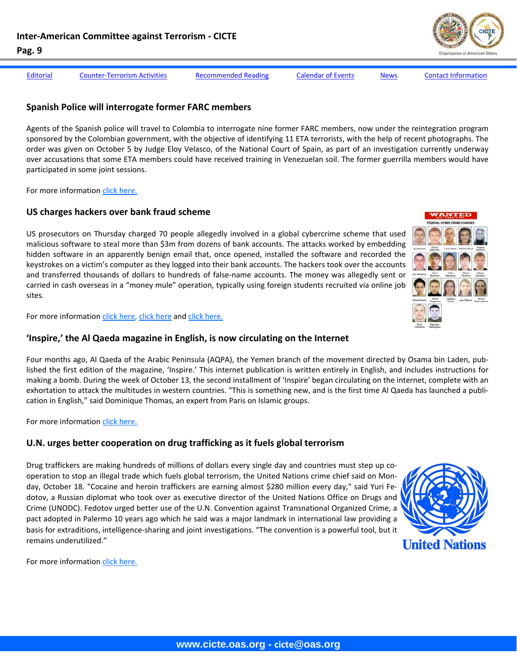

Editorial Counter-[Terrorism](#page-1-0) Activities [Recommended](#page-5-0) Reading Calendar of Events [News](#page-7-0) Contact [Information](#page-10-0)

#### **Spanish Police will interrogate former FARC members**

Agents of the Spanish police will travel to Colombia to interrogate nine former FARC members, now under the reintegration program sponsored by the Colombian government, with the objective of identifying 11 ETA terrorists, with the help of recent photographs. The order was given on October 5 by Judge Eloy Velasco, of the National Court of Spain, as part of an investigation currently underway over accusations that some ETA members could have received training in Venezuelan soil. The former guerrilla members would have participated in some joint sessions.

For more information click [here.](http://www.eltiempo.com/mundo/europa/juez-espanol-ordena-interrogar-a-nueve-ex-guerrilleros-de-las-farc_8083580-4)

## **US charges hackers over bank fraud scheme**

US prosecutors on Thursday charged 70 people allegedly involved in a global cybercrime scheme that used malicious software to steal more than \$3m from dozens of bank accounts. The attacks worked by embedding hidden software in an apparently benign email that, once opened, installed the software and recorded the keystrokes on a victim's computer as they logged into their bank accounts. The hackers took over the accounts and transferred thousands of dollars to hundreds of false-name accounts. The money was allegedly sent or carried in cash overseas in a "money mule" operation, typically using foreign students recruited via online job sites.

For more information click [here,](http://www.ft.com/cms/s/0/aa45aa1e-cccb-11df-a1eb-00144feab49a.html) click [here](http://www.wired.com/threatlevel/2010/09/zeus-botnet-ring/) and click [here.](http://www.wired.com/threatlevel/2010/10/zeus-ukraine-arrests/#more-19753)

#### **'Inspire,' the Al Qaeda magazine in English, is now circulating on the Internet**

Four months ago, Al Qaeda of the Arabic Peninsula (AQPA), the Yemen branch of the movement directed by Osama bin Laden, pub‐ lished the first edition of the magazine, 'Inspire.' This internet publication is written entirely in English, and includes instructions for making a bomb. During the week of October 13, the second installment of 'Inspire' began circulating on the internet, complete with an exhortation to attack the multitudes in western countries. "This is something new, and is the first time Al Qaeda has launched a publi‐ cation in English," said Dominique Thomas, an expert from Paris on Islamic groups.

For more information click [here.](http://www.eltiempo.com/mundo/medio-oriente/circula-en-internet-inspire-la-revista-en-ingles-de-al-qaeda_8143600-4)

## **U.N. urges better cooperation on drug trafficking as it fuels global terrorism**

Drug traffickers are making hundreds of millions of dollars every single day and countries must step up co‐ operation to stop an illegal trade which fuels global terrorism, the United Nations crime chief said on Mon‐ day, October 18. "Cocaine and heroin traffickers are earning almost \$280 million every day," said Yuri Fedotov, a Russian diplomat who took over as executive director of the United Nations Office on Drugs and Crime (UNODC). Fedotov urged better use of the U.N. Convention against Transnational Organized Crime, a pact adopted in Palermo 10 years ago which he said was a major landmark in international law providing a basis for extraditions, intelligence‐sharing and joint investigations. "The convention is a powerful tool, but it remains underutilized."



For more information click [here.](http://www.reuters.com/article/idUSTRE69H31F20101018)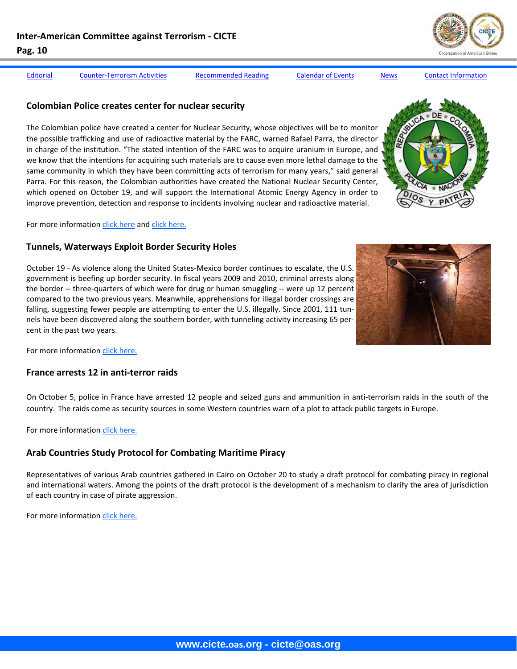Editorial Counter-[Terrorism](#page-1-0) Activities [Recommended](#page-5-0) Reading Calendar of Events [News](#page-7-0) Contact [Information](#page-10-0)

#### **Colombian Police creates center for nuclear security**

The Colombian police have created a center for Nuclear Security, whose objectives will be to monitor the possible trafficking and use of radioactive material by the FARC, warned Rafael Parra, the director in charge of the institution. "The stated intention of the FARC was to acquire uranium in Europe, and we know that the intentions for acquiring such materials are to cause even more lethal damage to the same community in which they have been committing acts of terrorism for many years," said general Parra. For this reason, the Colombian authorities have created the National Nuclear Security Center, which opened on October 19, and will support the International Atomic Energy Agency in order to improve prevention, detection and response to incidents involving nuclear and radioactive material.

For more information click [here](http://www.elespectador.com/noticias/judicial/articulo-230370-policia-crea-centro-seguridad-nuclear) and click [here.](http://www.bbc.co.uk/news/world-latin-america-11580759?utm_source=BBC+News+UK&utm_medium=twitter)

# **Tunnels, Waterways Exploit Border Security Holes**

October 19 ‐ As violence along the United States‐Mexico border continues to escalate, the U.S. government is beefing up border security. In fiscal years 2009 and 2010, criminal arrests along the border -- three-quarters of which were for drug or human smuggling -- were up 12 percent compared to the two previous years. Meanwhile, apprehensions for illegal border crossings are falling, suggesting fewer people are attempting to enter the U.S. illegally. Since 2001, 111 tunnels have been discovered along the southern border, with tunneling activity increasing 65 per‐ cent in the past two years.



For more information click [here.](http://www.cbsnews.com/8301-503543_162-20020025-503543.html)

#### **France arrests 12 in anti‐terror raids**

On October 5, police in France have arrested 12 people and seized guns and ammunition in anti‐terrorism raids in the south of the country. The raids come as security sources in some Western countries warn of a plot to attack public targets in Europe.

For more information click [here.](http://www.bbc.co.uk/news/world-europe-11477652)

## **Arab Countries Study Protocol for Combating Maritime Piracy**

Representatives of various Arab countries gathered in Cairo on October 20 to study a draft protocol for combating piracy in regional and international waters. Among the points of the draft protocol is the development of a mechanism to clarify the area of jurisdiction of each country in case of pirate aggression.

For more information click [here.](http://www.elespectador.com/noticias/elmundo/articulo-230724-paises-arabes-estudian-protocolo-luchar-contra-pirateria-maritima)